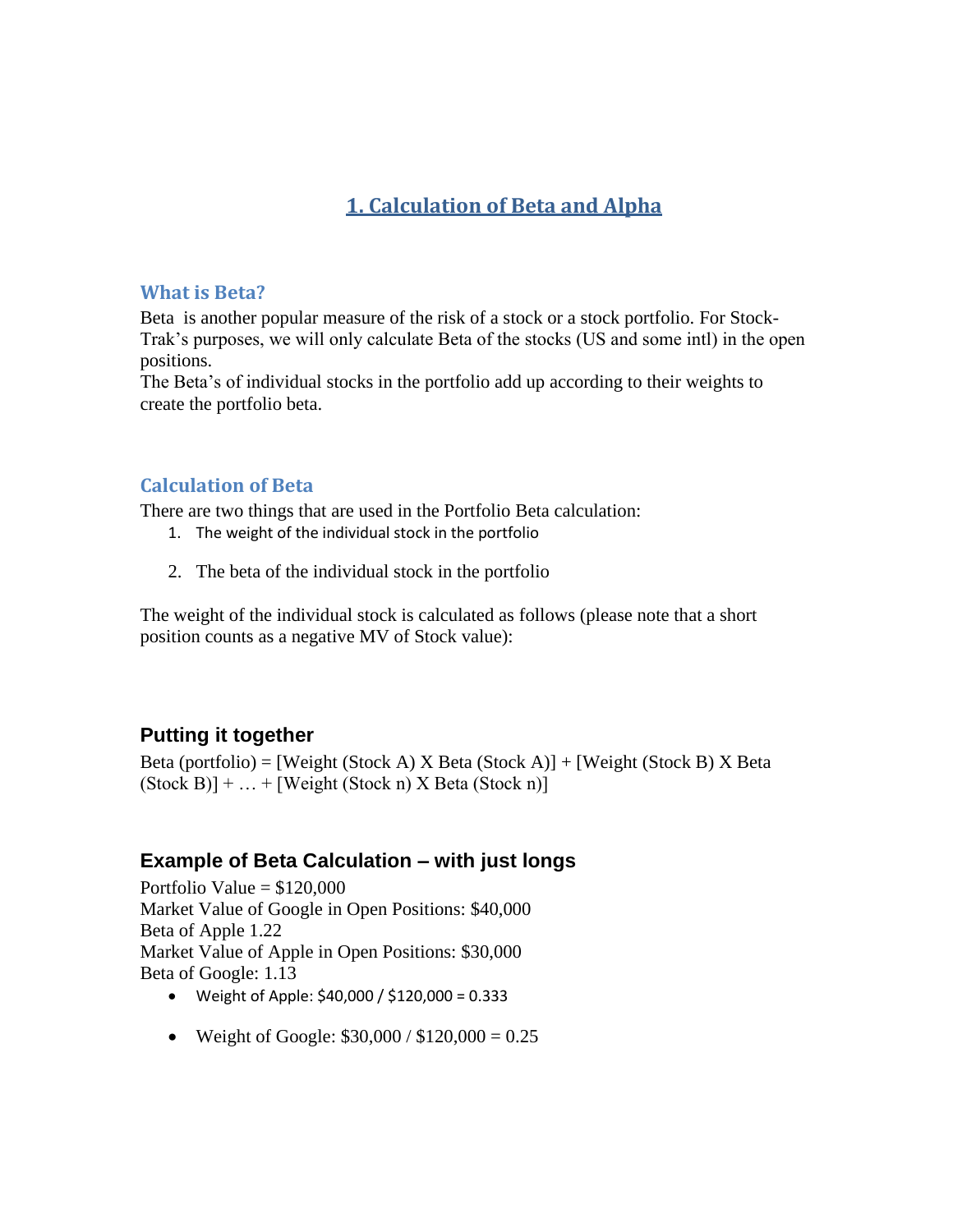# **1. Calculation of Beta and Alpha**

#### **What is Beta?**

Beta is another popular measure of the risk of a stock or a stock portfolio. For Stock-Trak's purposes, we will only calculate Beta of the stocks (US and some intl) in the open positions.

The Beta's of individual stocks in the portfolio add up according to their weights to create the portfolio beta.

#### **Calculation of Beta**

There are two things that are used in the Portfolio Beta calculation:

- 1. The weight of the individual stock in the portfolio
- 2. The beta of the individual stock in the portfolio

The weight of the individual stock is calculated as follows (please note that a short position counts as a negative MV of Stock value):

### **Putting it together**

Beta (portfolio) = [Weight (Stock A)  $X$  Beta (Stock A)] + [Weight (Stock B)  $X$  Beta  $(Stock B)] + ... + [Weight (Stock n) X Beta (Stock n)]$ 

#### **Example of Beta Calculation – with just longs**

Portfolio Value  $= $120,000$ Market Value of Google in Open Positions: \$40,000 Beta of Apple 1.22 Market Value of Apple in Open Positions: \$30,000 Beta of Google: 1.13

- Weight of Apple: \$40,000 / \$120,000 = 0.333
- Weight of Google:  $$30,000 / $120,000 = 0.25$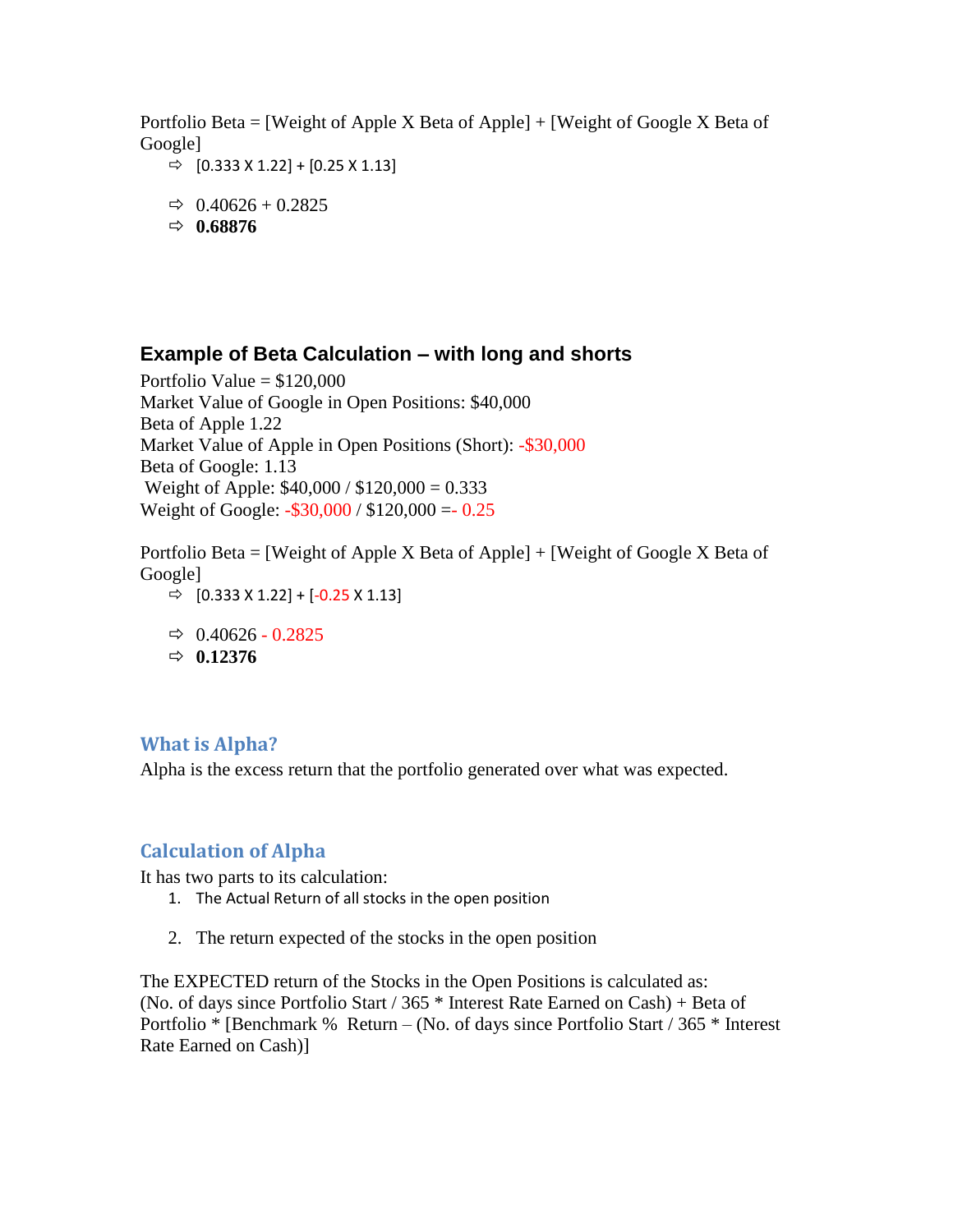Portfolio Beta = [Weight of Apple X Beta of Apple]  $+$  [Weight of Google X Beta of Google]

- $\Rightarrow$  [0.333 X 1.22] + [0.25 X 1.13]
- $\Rightarrow$  0.40626 + 0.2825
- $\Rightarrow$  0.68876

## **Example of Beta Calculation – with long and shorts**

Portfolio Value  $= $120,000$ Market Value of Google in Open Positions: \$40,000 Beta of Apple 1.22 Market Value of Apple in Open Positions (Short): -\$30,000 Beta of Google: 1.13 Weight of Apple: \$40,000 / \$120,000 = 0.333 Weight of Google: -\$30,000 / \$120,000 =- 0.25

Portfolio Beta = [Weight of Apple X Beta of Apple]  $+$  [Weight of Google X Beta of Google]  $\Rightarrow$  [0.333 X 1.22] + [-0.25 X 1.13]

- $\Rightarrow$  0.40626 0.2825
- $\Rightarrow$  0.12376

### **What is Alpha?**

Alpha is the excess return that the portfolio generated over what was expected.

### **Calculation of Alpha**

It has two parts to its calculation:

- 1. The Actual Return of all stocks in the open position
- 2. The return expected of the stocks in the open position

The EXPECTED return of the Stocks in the Open Positions is calculated as: (No. of days since Portfolio Start / 365  $*$  Interest Rate Earned on Cash) + Beta of Portfolio \* [Benchmark % Return – (No. of days since Portfolio Start / 365 \* Interest Rate Earned on Cash)]